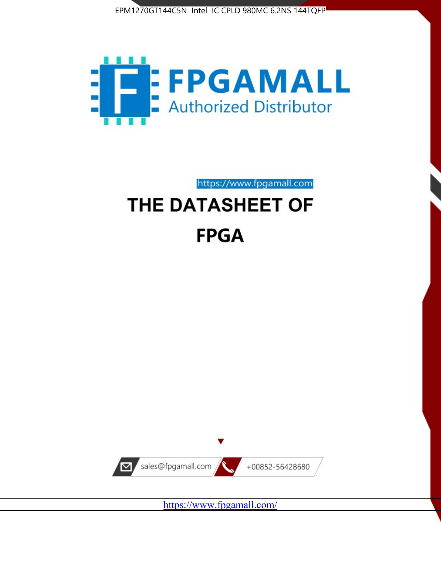



https://www.fpgamall.com

# THE DATASHEET OF **FPGA**



https://www.fpgamall.com/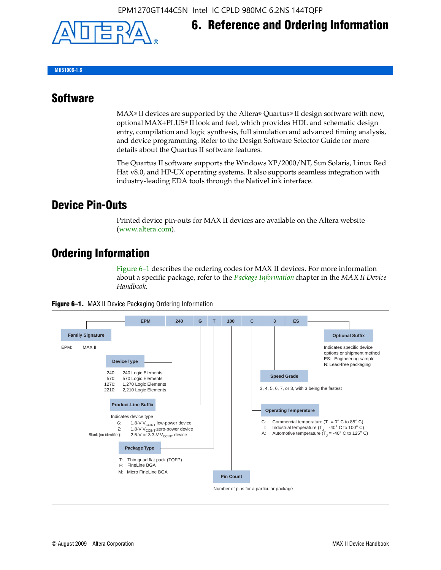

**MII51006-1.6**

#### **Software**

 $MAX<sup>®</sup>$  II devices are supported by the Altera® Quartus<sup>®</sup> II design software with new, optional MAX+PLUS® II look and feel, which provides HDL and schematic design entry, compilation and logic synthesis, full simulation and advanced timing analysis, and device programming. Refer to the Design Software Selector Guide for more details about the Quartus II software features.

**6. Reference and Ordering Information**

The Quartus II software supports the Windows XP/2000/NT, Sun Solaris, Linux Red Hat v8.0, and HP-UX operating systems. It also supports seamless integration with industry-leading EDA tools through the NativeLink interface.

#### **Device Pin-Outs**

Printed device pin-outs for MAX II devices are available on the Altera website ([www.altera.com](http://www.altera.com/)).

### **Ordering Information**

Figure 6–1 describes the ordering codes for MAX II devices. For more information about a specific package, refer to the *[Package Information](http://www.altera.com/literature/hb/max2/max2_mii51007.pdf)* chapter in the *MAX II Device Handbook*.



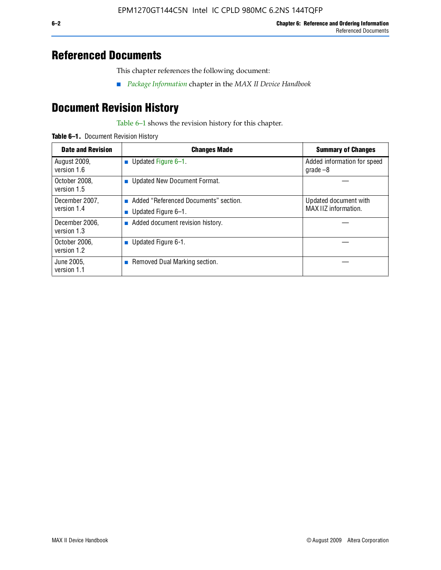### **Referenced Documents**

This chapter references the following document:

■ *[Package Information](http://www.altera.com/literature/hb/max2/max2_mii51007.pdf)* chapter in the *MAX II Device Handbook*

## **Document Revision History**

Table 6–1 shows the revision history for this chapter.

| Table 6-1. Document Revision History |
|--------------------------------------|
|                                      |

| <b>Date and Revision</b>      | <b>Changes Made</b>                                          | <b>Summary of Changes</b>                     |
|-------------------------------|--------------------------------------------------------------|-----------------------------------------------|
| August 2009,<br>version 1.6   | Updated Figure 6-1.<br>п                                     | Added information for speed<br>grade $-8$     |
| October 2008,<br>version 1.5  | Updated New Document Format.                                 |                                               |
| December 2007,<br>version 1.4 | Added "Referenced Documents" section.<br>Updated Figure 6-1. | Updated document with<br>MAX IIZ information. |
| December 2006,<br>version 1.3 | Added document revision history.                             |                                               |
| October 2006.<br>version 1.2  | Updated Figure 6-1.                                          |                                               |
| June 2005.<br>version 1.1     | $\blacksquare$ Removed Dual Marking section.                 |                                               |